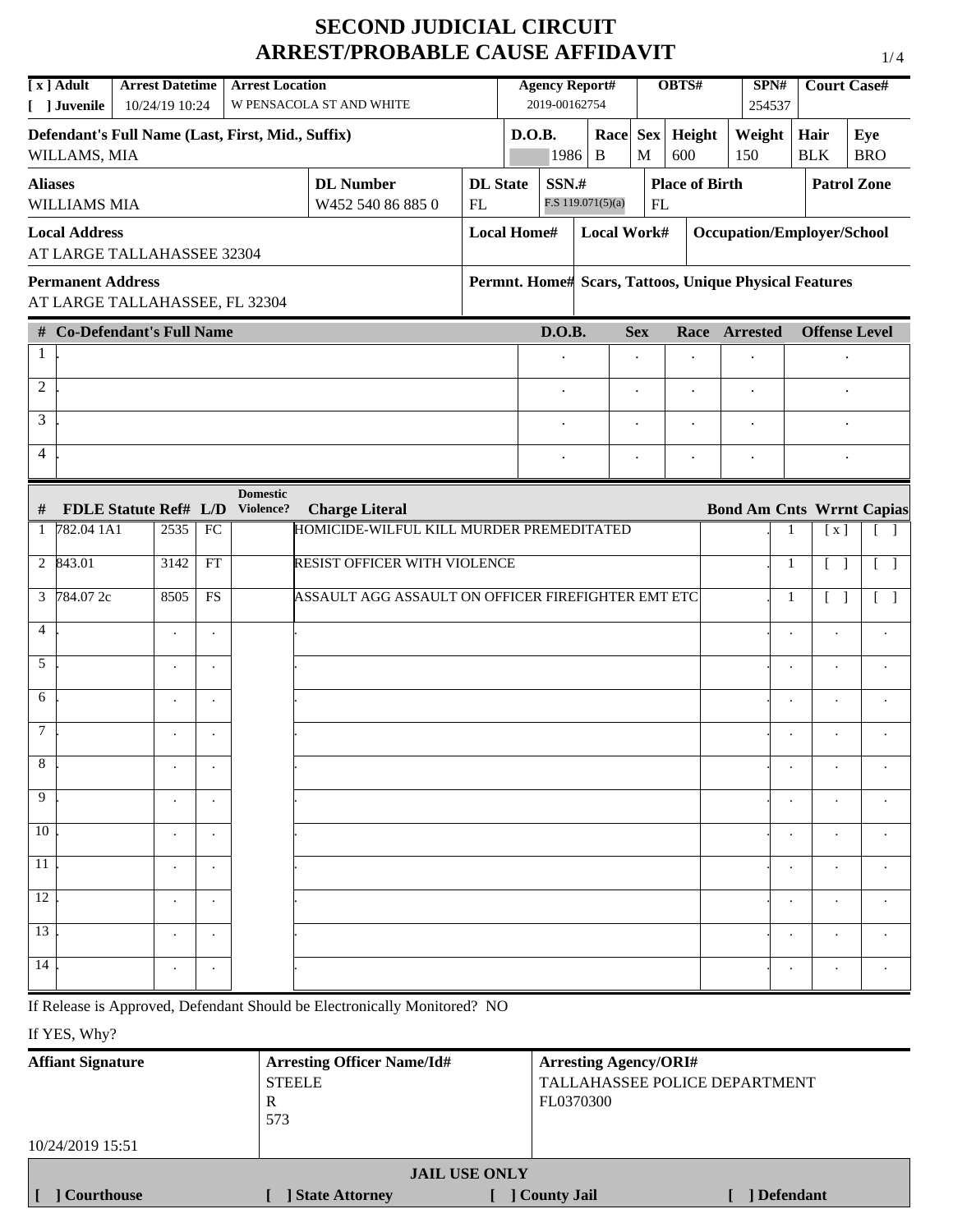# **SECOND JUDICIAL CIRCUIT ARREST/PROBABLE CAUSE AFFIDAVIT**

|                | [x] Adult                | <b>Arrest Datetime</b>                            |    | <b>Arrest Location</b>       |                                                                   |                    |        | <b>Agency Report#</b> |                     |            | OBTS#                 | SPN#                                                   | <b>Court Case#</b>   |                      |                                   |
|----------------|--------------------------|---------------------------------------------------|----|------------------------------|-------------------------------------------------------------------|--------------------|--------|-----------------------|---------------------|------------|-----------------------|--------------------------------------------------------|----------------------|----------------------|-----------------------------------|
|                | [ ] Juvenile             | 10/24/19 10:24                                    |    |                              | W PENSACOLA ST AND WHITE                                          |                    |        | 2019-00162754         |                     |            |                       | 254537                                                 |                      |                      |                                   |
|                |                          | Defendant's Full Name (Last, First, Mid., Suffix) |    |                              |                                                                   |                    | D.O.B. |                       | Race Sex            |            | Height                | Weight                                                 | Hair                 |                      | Eye                               |
|                | WILLAMS, MIA             |                                                   |    |                              |                                                                   |                    |        | 1986                  | B                   | M          | 600                   | 150                                                    | <b>BLK</b>           |                      | <b>BRO</b>                        |
| <b>Aliases</b> |                          |                                                   |    |                              | <b>DL</b> Number                                                  | <b>DL</b> State    |        | SSN.#                 |                     |            | <b>Place of Birth</b> |                                                        |                      |                      | <b>Patrol Zone</b>                |
|                | WILLIAMS MIA             |                                                   |    |                              | W452 540 86 885 0                                                 | FL                 |        |                       | F.S $119.071(5)(a)$ | FL         |                       |                                                        |                      |                      |                                   |
|                | <b>Local Address</b>     | AT LARGE TALLAHASSEE 32304                        |    |                              |                                                                   | <b>Local Home#</b> |        |                       | Local Work#         |            |                       | Occupation/Employer/School                             |                      |                      |                                   |
|                | <b>Permanent Address</b> | AT LARGE TALLAHASSEE, FL 32304                    |    |                              |                                                                   |                    |        |                       |                     |            |                       | Permnt. Home# Scars, Tattoos, Unique Physical Features |                      |                      |                                   |
|                |                          | # Co-Defendant's Full Name                        |    |                              |                                                                   |                    |        | D.O.B.                |                     | <b>Sex</b> | Race                  | <b>Arrested</b>                                        | <b>Offense Level</b> |                      |                                   |
| 1              |                          |                                                   |    |                              |                                                                   |                    |        |                       |                     |            |                       |                                                        |                      |                      |                                   |
| $\overline{2}$ |                          |                                                   |    |                              |                                                                   |                    |        | $\ddot{\phantom{0}}$  |                     |            | $\ddot{\phantom{0}}$  |                                                        |                      |                      |                                   |
| 3              |                          |                                                   |    |                              |                                                                   |                    |        |                       |                     |            | $\cdot$               |                                                        |                      |                      |                                   |
| $\overline{4}$ |                          |                                                   |    |                              |                                                                   |                    |        |                       |                     |            | $\bullet$             | $\bullet$                                              |                      |                      |                                   |
|                |                          |                                                   |    | <b>Domestic</b><br>Violence? |                                                                   |                    |        |                       |                     |            |                       |                                                        |                      |                      |                                   |
| #              | 1 782.04 1A1             | <b>FDLE Statute Ref# L/D</b><br>2535              | FC |                              | <b>Charge Literal</b><br>HOMICIDE-WILFUL KILL MURDER PREMEDITATED |                    |        |                       |                     |            |                       | <b>Bond Am Cnts Wrrnt Capias</b><br>1                  |                      | [x]                  | $\begin{bmatrix} 1 \end{bmatrix}$ |
|                |                          |                                                   | FT |                              |                                                                   |                    |        |                       |                     |            |                       |                                                        |                      |                      |                                   |
|                | 2 843.01                 | 3142                                              |    |                              | <b>RESIST OFFICER WITH VIOLENCE</b>                               |                    |        |                       |                     |            |                       | 1                                                      |                      |                      | $\begin{bmatrix} \end{bmatrix}$   |
|                | 3 $\sqrt{784.07}$ 2c     | 8505                                              | FS |                              | ASSAULT AGG ASSAULT ON OFFICER FIREFIGHTER EMT ETC                |                    |        |                       |                     |            |                       | 1                                                      |                      | $[\ ]$               | $\begin{bmatrix} 1 \end{bmatrix}$ |
| $\overline{4}$ |                          | $\cdot$                                           |    |                              |                                                                   |                    |        |                       |                     |            |                       |                                                        |                      |                      |                                   |
| 5              |                          |                                                   |    |                              |                                                                   |                    |        |                       |                     |            |                       |                                                        |                      |                      |                                   |
| 6              |                          |                                                   |    |                              |                                                                   |                    |        |                       |                     |            |                       | $\cdot$                                                |                      | $\ddot{\phantom{0}}$ |                                   |
| $\tau$         |                          |                                                   |    |                              |                                                                   |                    |        |                       |                     |            |                       |                                                        |                      |                      |                                   |
| 8              |                          |                                                   |    |                              |                                                                   |                    |        |                       |                     |            |                       |                                                        |                      |                      |                                   |
| 9              |                          |                                                   |    |                              |                                                                   |                    |        |                       |                     |            |                       |                                                        |                      |                      |                                   |
| 10             |                          |                                                   |    |                              |                                                                   |                    |        |                       |                     |            |                       |                                                        |                      |                      |                                   |
| 11             |                          | $\bullet$                                         |    |                              |                                                                   |                    |        |                       |                     |            |                       |                                                        |                      |                      |                                   |
| 12             |                          |                                                   |    |                              |                                                                   |                    |        |                       |                     |            |                       |                                                        |                      |                      |                                   |
| 13             |                          | $\bullet$                                         |    |                              |                                                                   |                    |        |                       |                     |            |                       |                                                        |                      |                      |                                   |
| 14             |                          |                                                   |    |                              |                                                                   |                    |        |                       |                     |            |                       |                                                        |                      |                      |                                   |

If Release is Approved, Defendant Should be Electronically Monitored? NO

If YES, Why?

| <b>Arresting Officer Name/Id#</b> | <b>Arresting Agency/ORI#</b>  |  |  |  |  |  |  |
|-----------------------------------|-------------------------------|--|--|--|--|--|--|
| <b>STEELE</b>                     | TALLAHASSEE POLICE DEPARTMENT |  |  |  |  |  |  |
| R                                 | FL0370300                     |  |  |  |  |  |  |
|                                   |                               |  |  |  |  |  |  |
|                                   |                               |  |  |  |  |  |  |
| <b>JAIL USE ONLY</b>              |                               |  |  |  |  |  |  |
| <b>State Attorney</b>             | ] County Jail<br>  Defendant  |  |  |  |  |  |  |
|                                   | 573                           |  |  |  |  |  |  |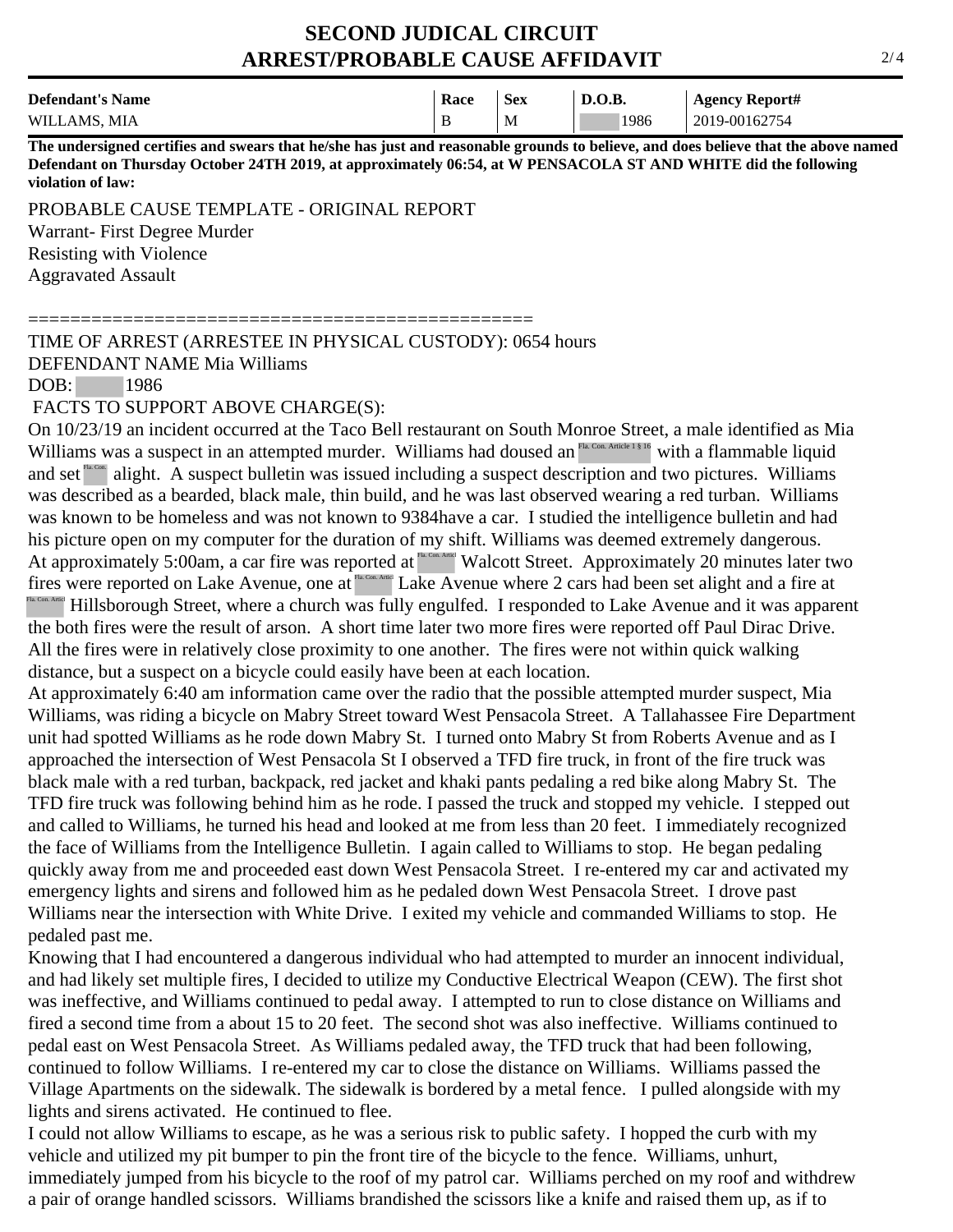### **SECOND JUDICAL CIRCUIT ARREST/PROBABLE CAUSE AFFIDAVIT**

| <b>Defendant's Name</b> | Race | <b>Sex</b> | D.O.B. | <b>Agency Report#</b> |
|-------------------------|------|------------|--------|-----------------------|
| WILLAMS, MIA            | B    | M          | 1986   | 2019-00162754         |

**The undersigned certifies and swears that he/she has just and reasonable grounds to believe, and does believe that the above named Defendant on Thursday October 24TH 2019, at approximately 06:54, at W PENSACOLA ST AND WHITE did the following violation of law:**

PROBABLE CAUSE TEMPLATE - ORIGINAL REPORT Warrant- First Degree Murder Resisting with Violence Aggravated Assault

================================================

TIME OF ARREST (ARRESTEE IN PHYSICAL CUSTODY): 0654 hours DEFENDANT NAME Mia Williams

DOB: 1986

FACTS TO SUPPORT ABOVE CHARGE(S):

On 10/23/19 an incident occurred at the Taco Bell restaurant on South Monroe Street, a male identified as Mia Williams was a suspect in an attempted murder. Williams had doused an  $F_a$  Con. Article 1816 with a flammable liquid and set  $\frac{R_{\text{max}}}{R_{\text{max}}}$  alight. A suspect bulletin was issued including a suspect description and two pictures. Williams was described as a bearded, black male, thin build, and he was last observed wearing a red turban. Williams was known to be homeless and was not known to 9384have a car. I studied the intelligence bulletin and had his picture open on my computer for the duration of my shift. Williams was deemed extremely dangerous. At approximately 5:00am, a car fire was reported at  $\frac{F_{\text{max}}}{F_{\text{max}}}$  Walcott Street. Approximately 20 minutes later two fires were reported on Lake Avenue, one at **Lake Avenue** where 2 cars had been set alight and a fire at FIL CON Article Hillsborough Street, where a church was fully engulfed. I responded to Lake Avenue and it was apparent the both fires were the result of arson. A short time later two more fires were reported off Paul Dirac Drive. All the fires were in relatively close proximity to one another. The fires were not within quick walking distance, but a suspect on a bicycle could easily have been at each location. and set<sup>18</sup> alight. A suspect bulletin was issued in was described as a bearded, black male, thin build, was known to be homeless and was not known to 9.<br>his picture open on my computer for the duration of At approximatel

At approximately 6:40 am information came over the radio that the possible attempted murder suspect, Mia Williams, was riding a bicycle on Mabry Street toward West Pensacola Street. A Tallahassee Fire Department unit had spotted Williams as he rode down Mabry St. I turned onto Mabry St from Roberts Avenue and as I approached the intersection of West Pensacola St I observed a TFD fire truck, in front of the fire truck was black male with a red turban, backpack, red jacket and khaki pants pedaling a red bike along Mabry St. The TFD fire truck was following behind him as he rode. I passed the truck and stopped my vehicle. I stepped out and called to Williams, he turned his head and looked at me from less than 20 feet. I immediately recognized the face of Williams from the Intelligence Bulletin. I again called to Williams to stop. He began pedaling quickly away from me and proceeded east down West Pensacola Street. I re-entered my car and activated my emergency lights and sirens and followed him as he pedaled down West Pensacola Street. I drove past Williams near the intersection with White Drive. I exited my vehicle and commanded Williams to stop. He pedaled past me.

Knowing that I had encountered a dangerous individual who had attempted to murder an innocent individual, and had likely set multiple fires, I decided to utilize my Conductive Electrical Weapon (CEW). The first shot was ineffective, and Williams continued to pedal away. I attempted to run to close distance on Williams and fired a second time from a about 15 to 20 feet. The second shot was also ineffective. Williams continued to pedal east on West Pensacola Street. As Williams pedaled away, the TFD truck that had been following, continued to follow Williams. I re-entered my car to close the distance on Williams. Williams passed the Village Apartments on the sidewalk. The sidewalk is bordered by a metal fence. I pulled alongside with my lights and sirens activated. He continued to flee.

I could not allow Williams to escape, as he was a serious risk to public safety. I hopped the curb with my vehicle and utilized my pit bumper to pin the front tire of the bicycle to the fence. Williams, unhurt, immediately jumped from his bicycle to the roof of my patrol car. Williams perched on my roof and withdrew a pair of orange handled scissors. Williams brandished the scissors like a knife and raised them up, as if to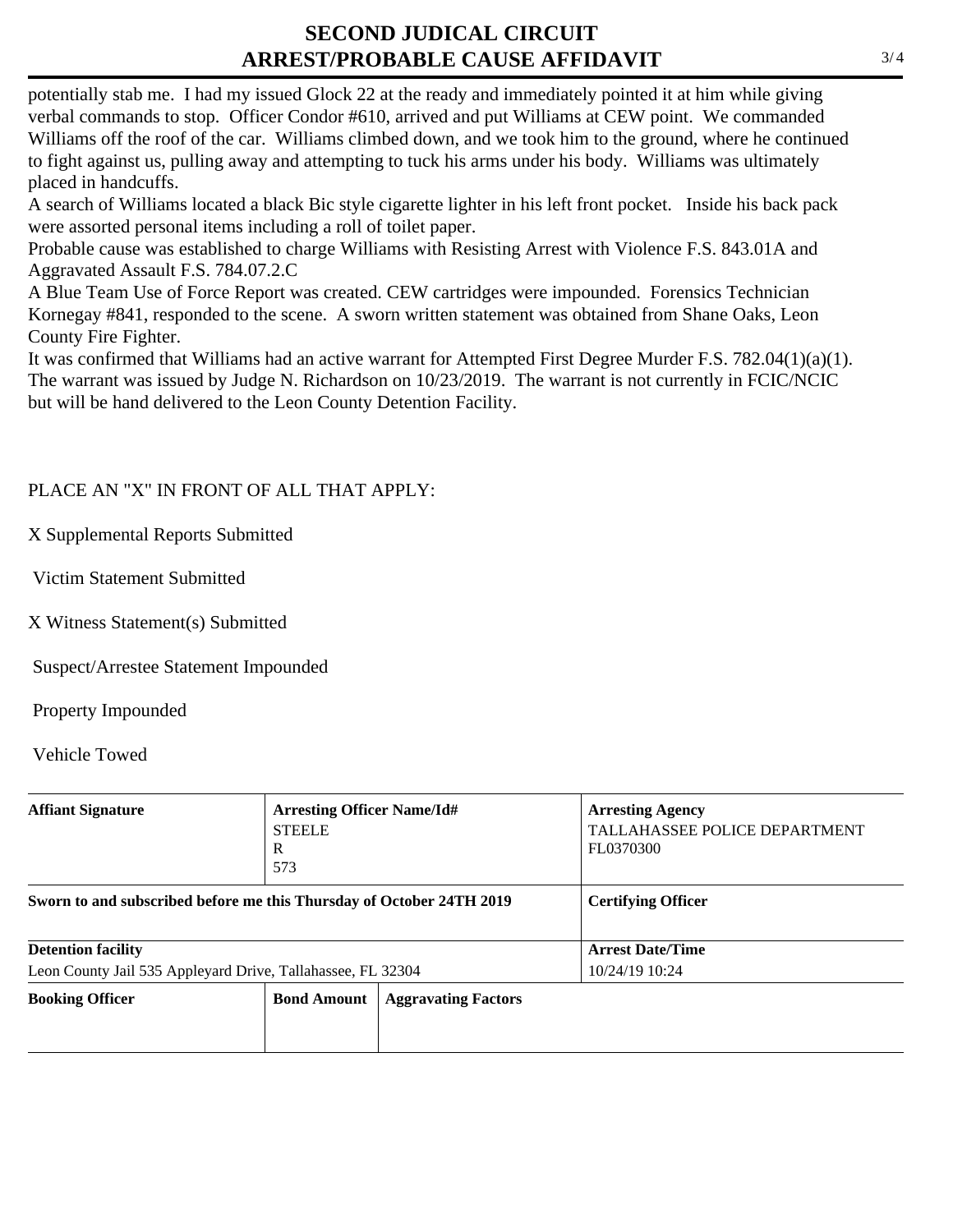## **SECOND JUDICAL CIRCUIT ARREST/PROBABLE CAUSE AFFIDAVIT**

potentially stab me. I had my issued Glock 22 at the ready and immediately pointed it at him while giving verbal commands to stop. Officer Condor #610, arrived and put Williams at CEW point. We commanded Williams off the roof of the car. Williams climbed down, and we took him to the ground, where he continued to fight against us, pulling away and attempting to tuck his arms under his body. Williams was ultimately placed in handcuffs.

A search of Williams located a black Bic style cigarette lighter in his left front pocket. Inside his back pack were assorted personal items including a roll of toilet paper.

Probable cause was established to charge Williams with Resisting Arrest with Violence F.S. 843.01A and Aggravated Assault F.S. 784.07.2.C

A Blue Team Use of Force Report was created. CEW cartridges were impounded. Forensics Technician Kornegay #841, responded to the scene. A sworn written statement was obtained from Shane Oaks, Leon County Fire Fighter.

It was confirmed that Williams had an active warrant for Attempted First Degree Murder F.S. 782.04(1)(a)(1). The warrant was issued by Judge N. Richardson on 10/23/2019. The warrant is not currently in FCIC/NCIC but will be hand delivered to the Leon County Detention Facility.

#### PLACE AN "X" IN FRONT OF ALL THAT APPLY:

X Supplemental Reports Submitted

Victim Statement Submitted

X Witness Statement(s) Submitted

Suspect/Arrestee Statement Impounded

Property Impounded

Vehicle Towed

| <b>Affiant Signature</b>                                             | <b>Arresting Officer Name/Id#</b><br><b>STEELE</b><br>R<br>573 |                            | <b>Arresting Agency</b><br><b>TALLAHASSEE POLICE DEPARTMENT</b><br>FL0370300 |
|----------------------------------------------------------------------|----------------------------------------------------------------|----------------------------|------------------------------------------------------------------------------|
| Sworn to and subscribed before me this Thursday of October 24TH 2019 |                                                                |                            | <b>Certifying Officer</b>                                                    |
| <b>Detention facility</b>                                            |                                                                |                            | <b>Arrest Date/Time</b>                                                      |
| Leon County Jail 535 Appleyard Drive, Tallahassee, FL 32304          |                                                                |                            | 10/24/19 10:24                                                               |
| <b>Booking Officer</b><br><b>Bond Amount</b>                         |                                                                | <b>Aggravating Factors</b> |                                                                              |